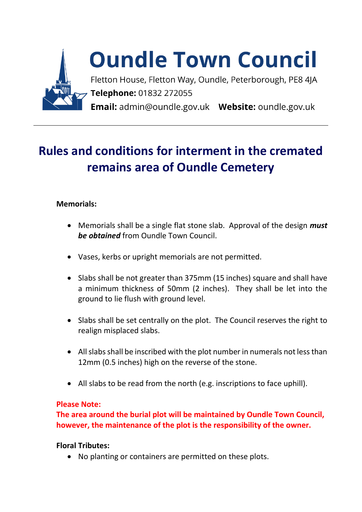

## **Oundle Town Council**

Fletton House, Fletton Way, Oundle, Peterborough, PE8 4JA Telephone: 01832 272055 Email: admin@oundle.gov.uk Website: oundle.gov.uk

## **Rules and conditions for interment in the cremated remains area of Oundle Cemetery**

## **Memorials:**

- Memorials shall be a single flat stone slab. Approval of the design *must be obtained* from Oundle Town Council.
- Vases, kerbs or upright memorials are not permitted.
- Slabs shall be not greater than 375mm (15 inches) square and shall have a minimum thickness of 50mm (2 inches). They shall be let into the ground to lie flush with ground level.
- Slabs shall be set centrally on the plot. The Council reserves the right to realign misplaced slabs.
- All slabs shall be inscribed with the plot number in numerals not less than 12mm (0.5 inches) high on the reverse of the stone.
- All slabs to be read from the north (e.g. inscriptions to face uphill).

## **Please Note:**

**The area around the burial plot will be maintained by Oundle Town Council, however, the maintenance of the plot is the responsibility of the owner.**

**Floral Tributes:**

• No planting or containers are permitted on these plots.